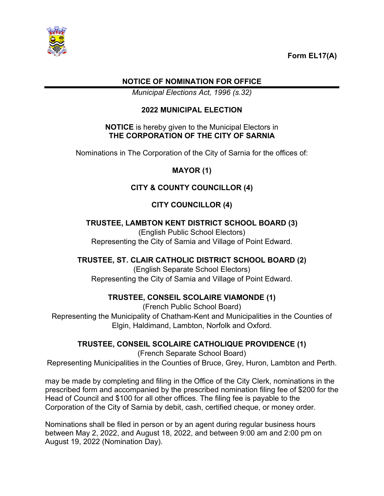

### **NOTICE OF NOMINATION FOR OFFICE**

*Municipal Elections Act, 1996 (s.32)*

#### **2022 MUNICIPAL ELECTION**

#### **NOTICE** is hereby given to the Municipal Electors in **THE CORPORATION OF THE CITY OF SARNIA**

Nominations in The Corporation of the City of Sarnia for the offices of:

#### **MAYOR (1)**

# **CITY & COUNTY COUNCILLOR (4)**

# **CITY COUNCILLOR (4)**

#### **TRUSTEE, LAMBTON KENT DISTRICT SCHOOL BOARD (3)**

(English Public School Electors) Representing the City of Sarnia and Village of Point Edward.

### **TRUSTEE, ST. CLAIR CATHOLIC DISTRICT SCHOOL BOARD (2)**

(English Separate School Electors) Representing the City of Sarnia and Village of Point Edward.

### **TRUSTEE, CONSEIL SCOLAIRE VIAMONDE (1)**

(French Public School Board) Representing the Municipality of Chatham-Kent and Municipalities in the Counties of Elgin, Haldimand, Lambton, Norfolk and Oxford.

#### **TRUSTEE, CONSEIL SCOLAIRE CATHOLIQUE PROVIDENCE (1)**

(French Separate School Board) Representing Municipalities in the Counties of Bruce, Grey, Huron, Lambton and Perth.

may be made by completing and filing in the Office of the City Clerk, nominations in the prescribed form and accompanied by the prescribed nomination filing fee of \$200 for the Head of Council and \$100 for all other offices. The filing fee is payable to the Corporation of the City of Sarnia by debit, cash, certified cheque, or money order.

Nominations shall be filed in person or by an agent during regular business hours between May 2, 2022, and August 18, 2022, and between 9:00 am and 2:00 pm on August 19, 2022 (Nomination Day).